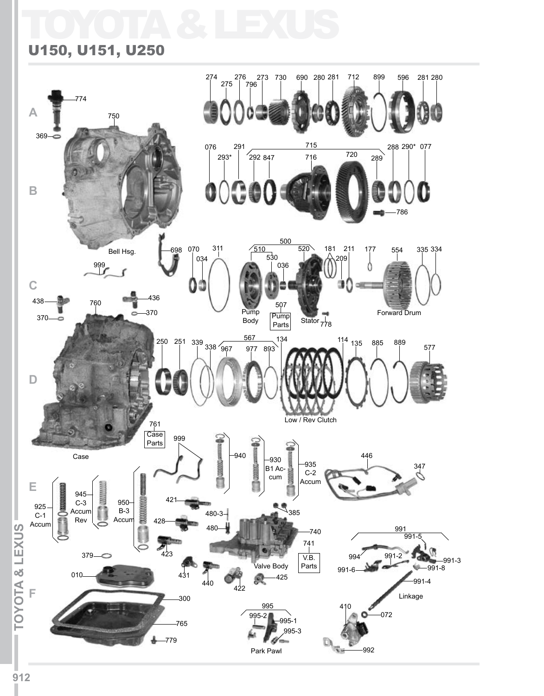# TOYOTA & LEXUS

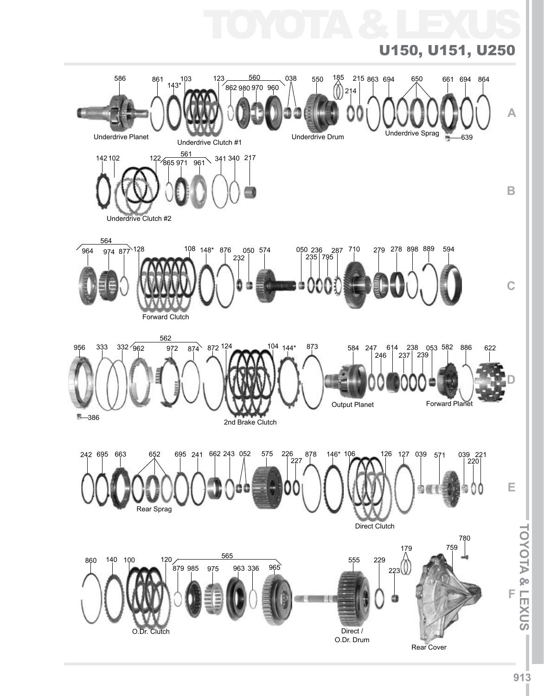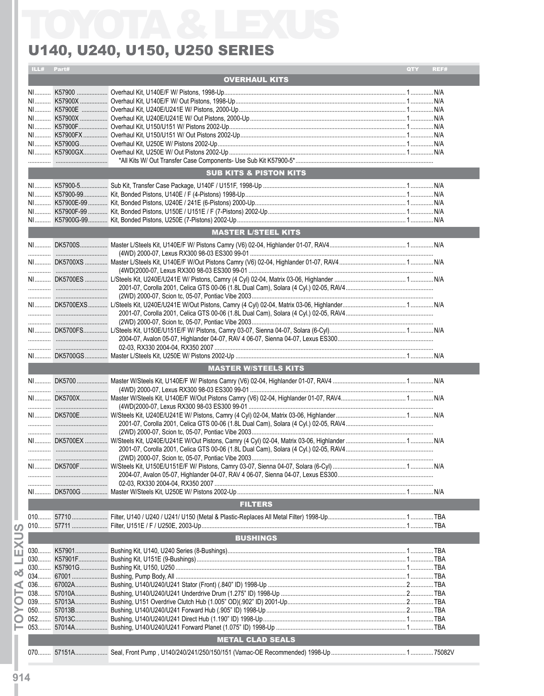# U140, U240, U150, U250 SERIES

### ILL# Part# QTY **REF OVERHAUL KITS**  $N/A$ **SUB KITS & PISTON KITS MASTER L/STEEL KITS** MASTER W/STEELS KITS AND ALCOHOL AND RESIDENCE  $\cdots$ (2WD) 2000-07, Scion tc, 05-07, Pontiac Vibe 2003............... **FILTERS BUSHINGS** METAL CLAD SEALS **And Seat All Class Contract Class**

ഗ

⋖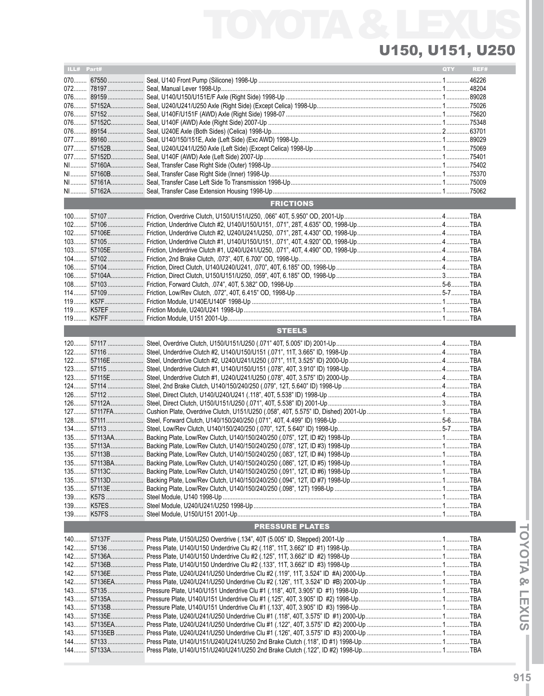| ILL# Part# |                        | QTY | REF# |
|------------|------------------------|-----|------|
|            |                        |     |      |
|            |                        |     |      |
|            |                        |     |      |
|            |                        |     |      |
|            |                        |     |      |
|            |                        |     |      |
|            |                        |     |      |
|            |                        |     |      |
|            |                        |     |      |
|            |                        |     |      |
|            |                        |     |      |
|            |                        |     |      |
|            |                        |     |      |
|            |                        |     |      |
|            |                        |     |      |
|            |                        |     |      |
|            | <b>FRICTIONS</b>       |     |      |
|            |                        |     |      |
|            |                        |     |      |
|            |                        |     |      |
|            |                        |     |      |
|            |                        |     |      |
|            |                        |     |      |
|            |                        |     |      |
|            |                        |     |      |
|            |                        |     |      |
|            |                        |     |      |
|            |                        |     |      |
|            |                        |     |      |
|            |                        |     |      |
|            |                        |     |      |
|            |                        |     |      |
|            | <b>STEELS</b>          |     |      |
|            |                        |     |      |
|            |                        |     |      |
|            |                        |     |      |
|            |                        |     |      |
|            |                        |     |      |
|            |                        |     |      |
|            |                        |     |      |
|            |                        |     |      |
|            |                        |     |      |
|            |                        |     |      |
|            |                        |     |      |
|            |                        |     |      |
|            |                        |     |      |
|            |                        |     |      |
|            |                        |     |      |
|            |                        |     |      |
|            |                        |     |      |
|            |                        |     |      |
|            |                        |     |      |
|            |                        |     |      |
|            |                        |     |      |
|            |                        |     |      |
|            |                        |     |      |
|            |                        |     |      |
|            | <b>PRESSURE PLATES</b> |     |      |
|            |                        |     |      |
|            |                        |     |      |
|            |                        |     |      |
|            |                        |     |      |
|            |                        |     |      |
|            |                        |     |      |
|            |                        |     |      |
|            |                        |     |      |
|            |                        |     |      |
|            |                        |     |      |
|            |                        |     |      |
|            |                        |     |      |
|            |                        |     |      |
|            |                        |     |      |
|            |                        |     |      |
|            |                        |     |      |

TOYOTA & LEXUS **ITOYOTA & LEXUSI**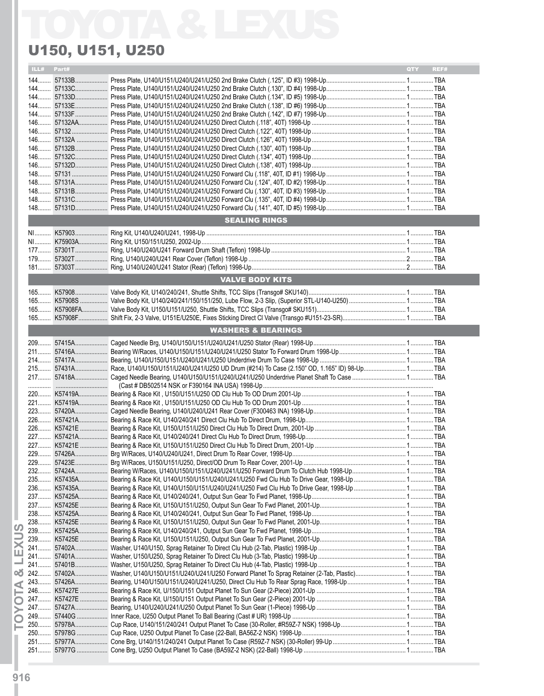|       | U150, U151, U250       |                                                       |
|-------|------------------------|-------------------------------------------------------|
| Part# |                        | REF#<br><b>OTY</b>                                    |
|       |                        |                                                       |
|       |                        |                                                       |
|       |                        |                                                       |
|       |                        |                                                       |
|       |                        |                                                       |
|       |                        |                                                       |
|       |                        |                                                       |
|       |                        |                                                       |
|       |                        |                                                       |
|       |                        |                                                       |
|       |                        |                                                       |
|       |                        |                                                       |
|       |                        |                                                       |
|       |                        |                                                       |
|       |                        |                                                       |
|       |                        |                                                       |
|       |                        |                                                       |
|       |                        |                                                       |
|       |                        |                                                       |
|       |                        |                                                       |
|       | <b>VALVE BODY KITS</b> |                                                       |
|       |                        |                                                       |
|       |                        |                                                       |
|       |                        |                                                       |
|       |                        |                                                       |
|       |                        |                                                       |
|       |                        |                                                       |
|       |                        |                                                       |
|       |                        |                                                       |
|       |                        |                                                       |
|       |                        |                                                       |
|       |                        |                                                       |
|       |                        |                                                       |
|       |                        |                                                       |
|       |                        |                                                       |
|       |                        |                                                       |
|       |                        |                                                       |
|       |                        |                                                       |
|       |                        |                                                       |
|       |                        |                                                       |
|       |                        |                                                       |
|       |                        |                                                       |
|       |                        |                                                       |
|       |                        |                                                       |
|       |                        |                                                       |
|       |                        |                                                       |
|       |                        |                                                       |
|       |                        |                                                       |
|       |                        |                                                       |
| 241   |                        |                                                       |
|       |                        |                                                       |
|       |                        |                                                       |
|       |                        |                                                       |
|       |                        |                                                       |
|       |                        |                                                       |
|       |                        |                                                       |
|       |                        |                                                       |
|       |                        |                                                       |
|       |                        |                                                       |
|       |                        |                                                       |
|       |                        | <b>SEALING RINGS</b><br><b>WASHERS &amp; BEARINGS</b> |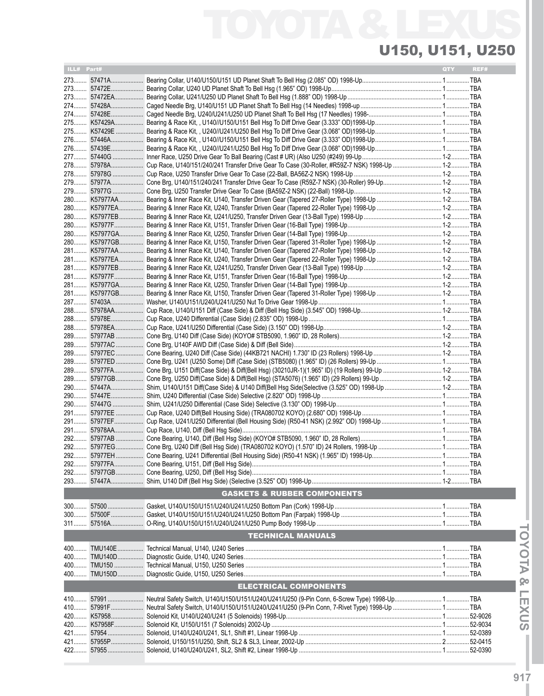| ILL# Part# |                                        | QTY | REF# |
|------------|----------------------------------------|-----|------|
|            |                                        |     |      |
|            |                                        |     |      |
|            |                                        |     |      |
|            |                                        |     |      |
|            |                                        |     |      |
|            |                                        |     |      |
| 276        |                                        |     |      |
|            |                                        |     |      |
|            |                                        |     |      |
|            |                                        |     |      |
|            |                                        |     |      |
| 279        |                                        |     |      |
|            |                                        |     |      |
|            |                                        |     |      |
|            |                                        |     |      |
|            |                                        |     |      |
|            |                                        |     |      |
|            |                                        |     |      |
|            |                                        |     |      |
|            |                                        |     |      |
|            |                                        |     |      |
|            |                                        |     |      |
|            |                                        |     |      |
|            |                                        |     |      |
|            |                                        |     |      |
| 288        |                                        |     |      |
|            |                                        |     |      |
|            |                                        |     |      |
|            |                                        |     |      |
| 289        |                                        |     |      |
|            |                                        |     |      |
|            |                                        |     |      |
| 289        |                                        |     |      |
| 290        |                                        |     |      |
| 290        |                                        |     |      |
|            |                                        |     |      |
|            |                                        |     |      |
|            |                                        |     |      |
|            |                                        |     |      |
|            |                                        |     |      |
|            |                                        |     |      |
|            |                                        |     |      |
|            |                                        |     |      |
|            |                                        |     |      |
|            | <b>GASKETS &amp; RUBBER COMPONENTS</b> |     |      |
|            |                                        |     |      |
|            |                                        |     |      |
|            |                                        |     |      |
|            |                                        |     |      |
|            | <b>TECHNICAL MANUALS</b>               |     |      |
|            |                                        |     |      |
|            |                                        |     |      |
| 400        |                                        |     |      |
|            |                                        |     |      |
|            | <b>ELECTRICAL COMPONENTS</b>           |     |      |
|            |                                        |     |      |
| 410        |                                        |     |      |
|            |                                        |     |      |
| 420        |                                        |     |      |
| 421        |                                        |     |      |
| 421        |                                        |     |      |
| 422        |                                        |     |      |
|            |                                        |     |      |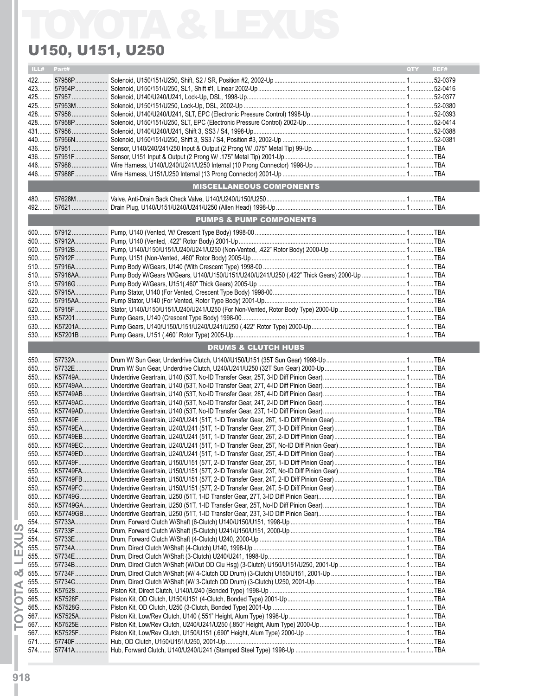### ILL# Part# QTY REF# 422........ 57956P.................... Solenoid, U150/151/U250, Shift, S2 / SR, Position #2, 2002-Up ................................................................................. 1.............. 52-0379 423........ 57954P.................... Solenoid, U150/151/U250, SL1, Shift #1, Linear 2002-Up........................................................................................... 1.............. 52-0416 425........ 57957 ...................... Solenoid, U140/U240/U241, Lock-Up, DSL, 1998-Up.................................................................................................. 1.............. 52-0377 425........ 57953M................... Solenoid, U150/151/U250, Lock-Up, DSL, 2002-Up .................................................................................................... 1.............. 52-0380 428........ 57958 ...................... Solenoid, U140/U240/U241, SLT, EPC (Electronic Pressure Control) 1998-Up........................................................... 1.............. 52-0393 428........ 57958P.................... Solenoid, U150/151/U250, SLT, EPC (Electronic Pressure Control) 2002-Up ............................................................. 1.............. 52-0414 431........ 57956 ...................... Solenoid, U140/U240/U241, Shift 3, SS3 / S4, 1998-Up.............................................................................................. 1.............. 52-0388 440........ 57956N.................... Solenoid, U150/151/U250, Shift 3, SS3 / S4, Position #3, 2002-Up ............................................................................ 1.............. 52-0381 436........ 57951 ...................... Sensor, U140/240/241/250 Input & Output (2 Prong W/ .075" Metal Tip) 99-Up.......................................................... 1..............TBA 436........ 57951F.................... Sensor, U151 Input & Output (2 Prong W/ .175" Metal Tip) 2001-Up........................................................................... 1..............TBA 446........ 57988 ...................... Wire Harness, U140/U240/U241/U250 Internal (10 Prong Connector) 1998-Up......................................................... 1..............TBA 446........ 57988F.................... Wire Harness, U151/U250 Internal (13 Prong Connector) 2001-Up ............................................................................ 1..............TBA MISCELLANEOUS COMPONENTS 480........ 57628M................... Valve, Anti-Drain Back Check Valve, U140/U240/U150/U250...................................................................................... 1..............TBA 492........ 57621 ...................... Drain Plug, U140/U151/U240/U241/U250 (Allen Head) 1998-Up................................................................................ 1..............TBA PUMPS & PUMP COMPONENTS 500........ 57912 ...................... Pump, U140 (Vented, W/ Crescent Type Body) 1998-00 ............................................................................................. 1..............TBA 500........ 57912A.................... Pump, U140 (Vented, .422" Rotor Body) 2001-Up....................................................................................................... 1..............TBA 500........ 57912B.................... Pump, U140/U150/U151/U240/U241/U250 (Non-Vented, .422" Rotor Body) 2000-Up ............................................... 1..............TBA 500........ 57912F.................... Pump, U151 (Non-Vented, .460" Rotor Body) 2005-Up ............................................................................................... 1..............TBA 510........ 57916A.................... Pump Body W/Gears, U140 (With Crescent Type) 1998-00 ........................................................................................ 1..............TBA 510........ 57916AA.................. Pump Body W/Gears W/Gears, U140/U150/U151/U240/U241/U250 (.422" Thick Gears) 2000-Up ........................... 1..............TBA 510........ 57916G ................... Pump Body W/Gears, U151(.460" Thick Gears) 2005-Up ........................................................................................... 1..............TBA 520........ 57915A.................... Pump Stator, U140 (For Vented, Crescent Type Body) 1998-00.................................................................................. 1..............TBA 520........ 57915AA.................. Pump Stator, U140 (For Vented, Rotor Type Body) 2001-Up....................................................................................... 1..............TBA 520........ 57915F.................... Stator, U140/U150/U151/U240/U241/U250 (For Non-Vented, Rotor Body Type) 2000-Up ......................................... 1..............TBA 530........ K57201.................... Pump Gears, U140 (Crescent Type Body) 1998-00..................................................................................................... 1..............TBA 530........ K57201A.................. Pump Gears, U140/U150/U151/U240/U241/U250 (.422" Rotor Type) 2000-Up.......................................................... 1..............TBA 530........ K57201B ................. Pump Gears, U151 (.460" Rotor Type) 2005-Up.......................................................................................................... 1..............TBA DRUMS & CLUTCH HUBS 550........ 57732A.................... Drum W/ Sun Gear, Underdrive Clutch, U140//U150/U151 (35T Sun Gear) 1998-Up................................................. 1..............TBA 550........ 57732E.................... Drum W/ Sun Gear, Underdrive Clutch, U240/U241/U250 (32T Sun Gear) 2000-Up.................................................. 1..............TBA 550........ K57749A.................. Underdrive Geartrain, U140 (53T, No-ID Transfer Gear, 25T, 3-ID Diff Pinion Gear)................................................... 1..............TBA 550........ K57749AA............... Underdrive Geartrain, U140 (53T, No-ID Transfer Gear, 27T, 4-ID Diff Pinion Gear)................................................... 1..............TBA 550........ K57749AB............... Underdrive Geartrain, U140 (53T, No-ID Transfer Gear, 28T, 4-ID Diff Pinion Gear)................................................... 1..............TBA 550........ K57749AC............... Underdrive Geartrain, U140 (53T, No-ID Transfer Gear, 24T, 2-ID Diff Pinion Gear)................................................... 1..............TBA 550........ K57749AD............... Underdrive Geartrain, U140 (53T, No-ID Transfer Gear, 23T, 1-ID Diff Pinion Gear)................................................... 1..............TBA 550........ K57749E ................. Underdrive Geartrain, U240/U241 (51T, 1-ID Transfer Gear, 26T, 1-ID Diff Pinion Gear)............................................ 1..............TBA 550........ K57749EA............... Underdrive Geartrain, U240/U241 (51T, 1-ID Transfer Gear, 27T, 3-ID Diff Pinion Gear)............................................ 1..............TBA 550........ K57749EB............... Underdrive Geartrain, U240/U241 (51T, 1-ID Transfer Gear, 26T, 2-ID Diff Pinion Gear)............................................ 1..............TBA 550........ K57749EC............... Underdrive Geartrain, U240/U241 (51T, 1-ID Transfer Gear, 25T, No-ID Diff Pinion Gear) ......................................... 1..............TBA 550........ K57749ED............... Underdrive Geartrain, U240/U241 (51T, 1-ID Transfer Gear, 25T, 4-ID Diff Pinion Gear)............................................ 1..............TBA **ITOY**<br> **ITOY** STREET STRENGTHES AND CONTENT AND AND CONTENT AND THE STRENGTHES AND STRENGTHES AND STRENGTHES AND STRENGTHES AND STRENGTHES AND STRENGTHES AND STRENGTHES AND CONTENT AND CONTENT AND CONTENT AND CONTENT AND U150, U151, U250

550........ K57749F.................. Underdrive Geartrain, U150/U151 (57T, 2-ID Transfer Gear, 25T, 1-ID Diff Pinion Gear)............................................ 1..............TBA 550........ K57749FA................ Underdrive Geartrain, U150/U151 (57T, 2-ID Transfer Gear, 23T, No-ID Diff Pinion Gear) ......................................... 1..............TBA

567........ K57525F.................. Piston Kit, Low/Rev Clutch, U150/U151 (.690" Height, Alum Type) 2000-Up .............................................................. 1..............TBA 571........ 57740F.................... Hub, OD Clutch, U150/U151/U250, 2001-Up............................................................................................................... 1..............TBA 574........ 57741A.................... Hub, Forward Clutch, U140/U240/U241 (Stamped Steel Type) 1998-Up .................................................................... 1..............TBA

550........ K57749FB............... Underdrive Geartrain, U150/U151 (57T, 2-ID Transfer Gear, 24T, 2-ID Diff Pinion Gear)............................................ 1..............TBA 550........ K57749FC............... Underdrive Geartrain, U150/U151 (57T, 2-ID Transfer Gear, 24T, 5-ID Diff Pinion Gear)............................................ 1..............TBA 550........ K57749G................. Underdrive Geartrain, U250 (51T, 1-ID Transfer Gear, 27T, 3-ID Diff Pinion Gear)...................................................... 1..............TBA 550........ K57749GA............... Underdrive Geartrain, U250 (51T, 1-ID Transfer Gear, 25T, No-ID Diff Pinion Gear)................................................... 1..............TBA 550........ K57749GB............... Underdrive Geartrain, U250 (51T, 1-ID Transfer Gear, 23T, 3-ID Diff Pinion Gear)...................................................... 1..............TBA 554........ 57733A.................... Drum, Forward Clutch W/Shaft (6-Clutch) U140/U150/U151, 1998-Up ....................................................................... 1..............TBA 554........ 57733F.................... Drum, Forward Clutch W/Shaft (5-Clutch) U241/U150/U151, 2000-Up ....................................................................... 1..............TBA 554........ 57733E.................... Drum, Forward Clutch W/Shaft (4-Clutch) U240, 2000-Up .......................................................................................... 1..............TBA 555........ 57734A.................... Drum, Direct Clutch W/Shaft (4-Clutch) U140, 1998-Up .............................................................................................. 1..............TBA 555........ 57734E.................... Drum, Direct Clutch W/Shaft (3-Clutch) U240/U241, 1998-Up..................................................................................... 1..............TBA 555........ 57734B.................... Drum, Direct Clutch W/Shaft (W/Out OD Clu Hsg) (3-Clutch) U150/U151/U250, 2001-Up ......................................... 1..............TBA 555........ 57734F.................... Drum, Direct Clutch W/Shaft (W/ 4-Clutch OD Drum) (3-Clutch) U150/U151, 2001-Up .............................................. 1..............TBA 555........ 57734C.................... Drum, Direct Clutch W/Shaft (W/ 3-Clutch OD Drum) (3-Clutch) U250, 2001-Up........................................................ 1..............TBA 565........ K57528.................... Piston Kit, Direct Clutch, U140/U240 (Bonded Type) 1998-Up .................................................................................... 1..............TBA 565........ K57528F.................. Piston Kit, OD Clutch, U150/U151 (4-Clutch, Bonded Type) 2001-Up......................................................................... 1..............TBA 565........ K57528G................. Piston Kit, OD Clutch, U250 (3-Clutch, Bonded Type) 2001-Up .................................................................................. 1..............TBA 567........ K57525A.................. Piston Kit, Low/Rev Clutch, U140 (.551" Height, Alum Type) 1998-Up ........................................................................ 1..............TBA 567........ K57525E ................. Piston Kit, Low/Rev Clutch, U240/U241/U250 (.850" Height, Alum Type) 2000-Up..................................................... 1..............TBA

**918**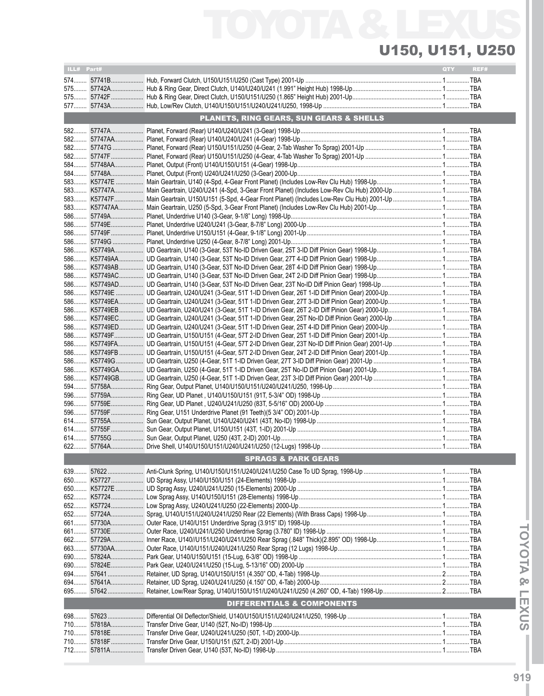| ILL# Part# |            |                                         | QTY | REF# |
|------------|------------|-----------------------------------------|-----|------|
|            |            |                                         |     |      |
|            |            |                                         |     |      |
|            |            |                                         |     |      |
|            |            |                                         |     |      |
|            |            | PLANETS, RING GEARS, SUN GEARS & SHELLS |     |      |
|            |            |                                         |     |      |
|            |            |                                         |     |      |
|            |            |                                         |     |      |
|            |            |                                         |     |      |
|            |            |                                         |     |      |
|            |            |                                         |     |      |
|            |            |                                         |     |      |
|            |            |                                         |     |      |
|            |            |                                         |     |      |
|            |            |                                         |     |      |
|            |            |                                         |     |      |
|            |            |                                         |     |      |
|            |            |                                         |     |      |
|            |            |                                         |     |      |
|            |            |                                         |     |      |
|            |            |                                         |     |      |
|            |            |                                         |     |      |
|            |            |                                         |     |      |
|            |            |                                         |     |      |
|            |            |                                         |     |      |
|            |            |                                         |     |      |
|            |            |                                         |     |      |
|            |            |                                         |     |      |
|            |            |                                         |     |      |
|            |            |                                         |     |      |
|            |            |                                         |     |      |
|            |            |                                         |     |      |
|            |            |                                         |     |      |
|            |            |                                         |     |      |
|            |            |                                         |     |      |
|            |            |                                         |     |      |
|            |            |                                         |     |      |
|            |            |                                         |     |      |
|            |            |                                         |     |      |
|            |            |                                         |     |      |
|            |            |                                         |     |      |
|            |            | <b>SPRAGS &amp; PARK GEARS</b>          |     |      |
|            | 639 57622  |                                         |     |      |
|            | 650 K57727 |                                         |     |      |
|            |            |                                         |     |      |
|            |            |                                         |     |      |
|            |            |                                         |     |      |
|            | 652 57724A |                                         |     |      |
|            | 661 57730A |                                         |     |      |
|            | 661 57730E |                                         |     |      |
|            |            |                                         |     |      |
|            |            |                                         |     |      |
|            |            |                                         |     |      |
|            |            |                                         |     |      |
|            |            |                                         |     |      |
| 695        |            |                                         |     |      |
|            |            | DIFFERENTIALS & COMPONENTS              |     |      |
|            |            |                                         |     |      |
|            |            |                                         |     |      |
|            |            |                                         |     |      |
|            |            |                                         |     |      |
|            |            |                                         |     |      |
|            |            |                                         |     |      |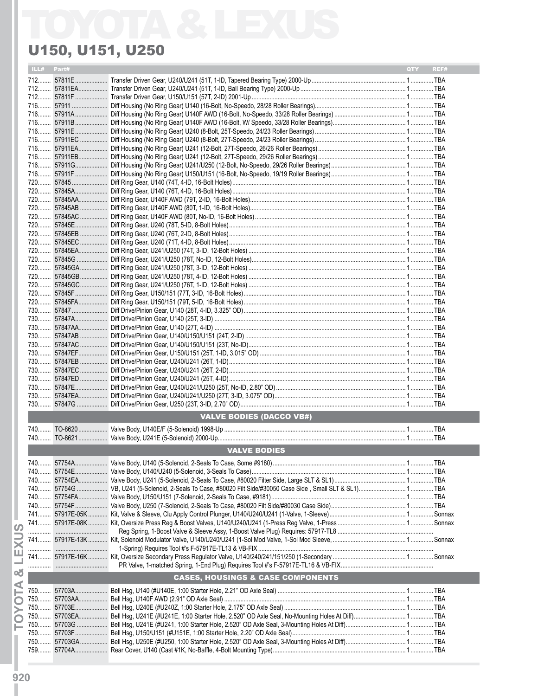| Part#<br>ILL# |                                              | <b>QTY</b><br>REF# |
|---------------|----------------------------------------------|--------------------|
|               |                                              |                    |
|               |                                              |                    |
|               |                                              |                    |
|               |                                              |                    |
|               |                                              |                    |
|               |                                              |                    |
|               |                                              |                    |
|               |                                              |                    |
|               |                                              |                    |
|               |                                              |                    |
|               |                                              |                    |
|               |                                              |                    |
|               |                                              |                    |
|               |                                              |                    |
|               |                                              |                    |
|               |                                              |                    |
|               |                                              |                    |
|               |                                              |                    |
|               |                                              |                    |
|               |                                              |                    |
|               |                                              |                    |
|               |                                              |                    |
|               |                                              |                    |
|               |                                              |                    |
|               |                                              |                    |
|               |                                              |                    |
|               |                                              |                    |
|               |                                              |                    |
|               |                                              |                    |
|               |                                              |                    |
|               |                                              |                    |
|               |                                              |                    |
|               |                                              |                    |
|               |                                              |                    |
|               |                                              |                    |
|               |                                              |                    |
|               | <b>VALVE BODIES (DACCO VB#)</b>              |                    |
|               |                                              |                    |
|               |                                              |                    |
|               | <b>VALVE BODIES</b>                          |                    |
|               |                                              |                    |
|               |                                              |                    |
|               |                                              |                    |
|               |                                              |                    |
|               |                                              |                    |
|               |                                              |                    |
|               |                                              |                    |
|               |                                              |                    |
|               |                                              |                    |
|               |                                              |                    |
|               |                                              |                    |
|               |                                              |                    |
|               | <b>CASES, HOUSINGS &amp; CASE COMPONENTS</b> |                    |
|               |                                              |                    |
|               |                                              |                    |
|               |                                              |                    |
|               |                                              |                    |
|               |                                              |                    |
|               |                                              |                    |
|               |                                              |                    |
|               |                                              |                    |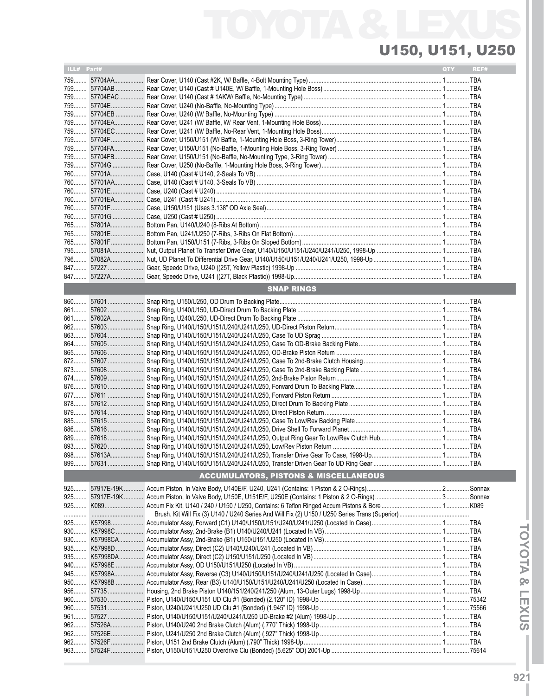| ILL# Part# |                                                                                                                            | QTY | REF# |
|------------|----------------------------------------------------------------------------------------------------------------------------|-----|------|
|            |                                                                                                                            |     |      |
|            |                                                                                                                            |     |      |
|            |                                                                                                                            |     |      |
|            |                                                                                                                            |     |      |
|            |                                                                                                                            |     |      |
|            |                                                                                                                            |     |      |
|            |                                                                                                                            |     |      |
|            |                                                                                                                            |     |      |
|            |                                                                                                                            |     |      |
|            |                                                                                                                            |     |      |
|            |                                                                                                                            |     |      |
|            |                                                                                                                            |     |      |
|            |                                                                                                                            |     |      |
|            |                                                                                                                            |     |      |
|            |                                                                                                                            |     |      |
|            |                                                                                                                            |     |      |
|            |                                                                                                                            |     |      |
|            |                                                                                                                            |     |      |
|            |                                                                                                                            |     |      |
|            |                                                                                                                            |     |      |
|            |                                                                                                                            |     |      |
|            |                                                                                                                            |     |      |
| 847        |                                                                                                                            |     |      |
|            |                                                                                                                            |     |      |
|            | <b>SNAP RINGS</b>                                                                                                          |     |      |
|            |                                                                                                                            |     |      |
|            |                                                                                                                            |     |      |
|            |                                                                                                                            |     |      |
|            |                                                                                                                            |     |      |
| 863        |                                                                                                                            |     |      |
| $864$      |                                                                                                                            |     |      |
|            |                                                                                                                            |     |      |
|            |                                                                                                                            |     |      |
|            |                                                                                                                            |     |      |
| $874$      |                                                                                                                            |     |      |
| 876        |                                                                                                                            |     |      |
|            |                                                                                                                            |     |      |
|            |                                                                                                                            |     |      |
| $885$      |                                                                                                                            |     |      |
| 886        |                                                                                                                            |     |      |
|            |                                                                                                                            |     |      |
|            |                                                                                                                            |     |      |
|            |                                                                                                                            |     |      |
|            |                                                                                                                            |     |      |
|            | <b>ACCUMULATORS, PISTONS &amp; MISCELLANEOUS</b>                                                                           |     |      |
|            |                                                                                                                            |     |      |
|            |                                                                                                                            |     |      |
|            |                                                                                                                            |     |      |
|            |                                                                                                                            |     |      |
|            |                                                                                                                            |     |      |
|            |                                                                                                                            |     |      |
|            |                                                                                                                            |     |      |
|            |                                                                                                                            |     |      |
|            |                                                                                                                            |     |      |
|            |                                                                                                                            |     |      |
|            |                                                                                                                            |     |      |
|            |                                                                                                                            |     |      |
|            |                                                                                                                            |     |      |
|            | 960……… 57530 …………………… Piston, U140/U150/U151 UD Clu #1 (Bonded) (2.120" ID) 1998-Up …………………………………………………………………… 1……………75342 |     |      |
| 960        |                                                                                                                            |     |      |
|            |                                                                                                                            |     |      |
| $962$      |                                                                                                                            |     |      |
| 962        |                                                                                                                            |     |      |
|            |                                                                                                                            |     |      |
|            |                                                                                                                            |     |      |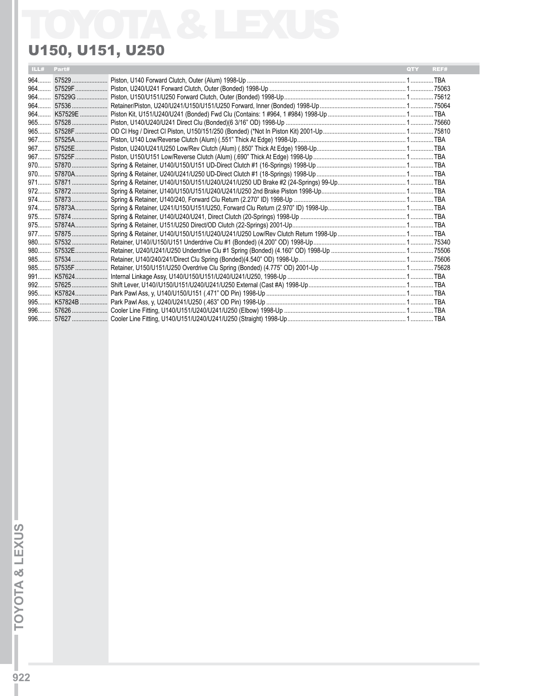|  |  | <b>QTY</b><br>REF# |
|--|--|--------------------|
|  |  |                    |
|  |  |                    |
|  |  |                    |
|  |  |                    |
|  |  |                    |
|  |  |                    |
|  |  |                    |
|  |  |                    |
|  |  |                    |
|  |  |                    |
|  |  |                    |
|  |  |                    |
|  |  |                    |
|  |  |                    |
|  |  |                    |
|  |  |                    |
|  |  |                    |
|  |  |                    |
|  |  |                    |
|  |  |                    |
|  |  |                    |
|  |  |                    |
|  |  |                    |
|  |  |                    |
|  |  |                    |
|  |  |                    |
|  |  |                    |